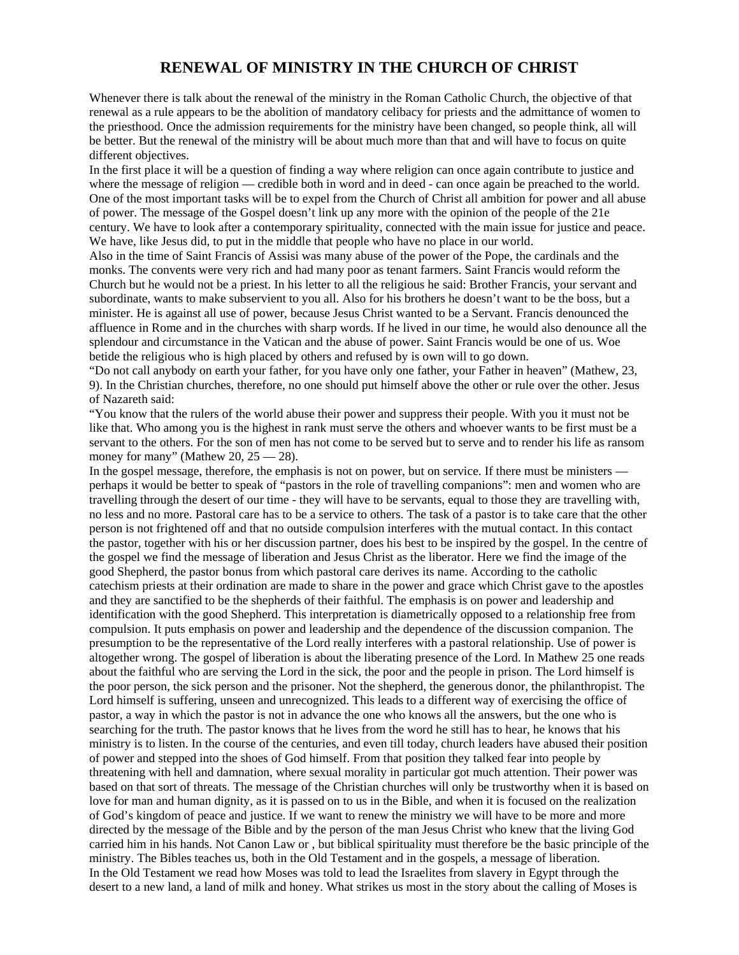## **RENEWAL OF MINISTRY IN THE CHURCH OF CHRIST**

Whenever there is talk about the renewal of the ministry in the Roman Catholic Church, the objective of that renewal as a rule appears to be the abolition of mandatory celibacy for priests and the admittance of women to the priesthood. Once the admission requirements for the ministry have been changed, so people think, all will be better. But the renewal of the ministry will be about much more than that and will have to focus on quite different objectives.

In the first place it will be a question of finding a way where religion can once again contribute to justice and where the message of religion — credible both in word and in deed - can once again be preached to the world. One of the most important tasks will be to expel from the Church of Christ all ambition for power and all abuse of power. The message of the Gospel doesn't link up any more with the opinion of the people of the 21e century. We have to look after a contemporary spirituality, connected with the main issue for justice and peace. We have, like Jesus did, to put in the middle that people who have no place in our world.

Also in the time of Saint Francis of Assisi was many abuse of the power of the Pope, the cardinals and the monks. The convents were very rich and had many poor as tenant farmers. Saint Francis would reform the Church but he would not be a priest. In his letter to all the religious he said: Brother Francis, your servant and subordinate, wants to make subservient to you all. Also for his brothers he doesn't want to be the boss, but a minister. He is against all use of power, because Jesus Christ wanted to be a Servant. Francis denounced the affluence in Rome and in the churches with sharp words. If he lived in our time, he would also denounce all the splendour and circumstance in the Vatican and the abuse of power. Saint Francis would be one of us. Woe betide the religious who is high placed by others and refused by is own will to go down.

"Do not call anybody on earth your father, for you have only one father, your Father in heaven" (Mathew, 23, 9). In the Christian churches, therefore, no one should put himself above the other or rule over the other. Jesus of Nazareth said:

"You know that the rulers of the world abuse their power and suppress their people. With you it must not be like that. Who among you is the highest in rank must serve the others and whoever wants to be first must be a servant to the others. For the son of men has not come to be served but to serve and to render his life as ransom money for many" (Mathew 20,  $25 - 28$ ).

In the gospel message, therefore, the emphasis is not on power, but on service. If there must be ministers perhaps it would be better to speak of "pastors in the role of travelling companions": men and women who are travelling through the desert of our time - they will have to be servants, equal to those they are travelling with, no less and no more. Pastoral care has to be a service to others. The task of a pastor is to take care that the other person is not frightened off and that no outside compulsion interferes with the mutual contact. In this contact the pastor, together with his or her discussion partner, does his best to be inspired by the gospel. In the centre of the gospel we find the message of liberation and Jesus Christ as the liberator. Here we find the image of the good Shepherd, the pastor bonus from which pastoral care derives its name. According to the catholic catechism priests at their ordination are made to share in the power and grace which Christ gave to the apostles and they are sanctified to be the shepherds of their faithful. The emphasis is on power and leadership and identification with the good Shepherd. This interpretation is diametrically opposed to a relationship free from compulsion. It puts emphasis on power and leadership and the dependence of the discussion companion. The presumption to be the representative of the Lord really interferes with a pastoral relationship. Use of power is altogether wrong. The gospel of liberation is about the liberating presence of the Lord. In Mathew 25 one reads about the faithful who are serving the Lord in the sick, the poor and the people in prison. The Lord himself is the poor person, the sick person and the prisoner. Not the shepherd, the generous donor, the philanthropist. The Lord himself is suffering, unseen and unrecognized. This leads to a different way of exercising the office of pastor, a way in which the pastor is not in advance the one who knows all the answers, but the one who is searching for the truth. The pastor knows that he lives from the word he still has to hear, he knows that his ministry is to listen. In the course of the centuries, and even till today, church leaders have abused their position of power and stepped into the shoes of God himself. From that position they talked fear into people by threatening with hell and damnation, where sexual morality in particular got much attention. Their power was based on that sort of threats. The message of the Christian churches will only be trustworthy when it is based on love for man and human dignity, as it is passed on to us in the Bible, and when it is focused on the realization of God's kingdom of peace and justice. If we want to renew the ministry we will have to be more and more directed by the message of the Bible and by the person of the man Jesus Christ who knew that the living God carried him in his hands. Not Canon Law or , but biblical spirituality must therefore be the basic principle of the ministry. The Bibles teaches us, both in the Old Testament and in the gospels, a message of liberation. In the Old Testament we read how Moses was told to lead the Israelites from slavery in Egypt through the desert to a new land, a land of milk and honey. What strikes us most in the story about the calling of Moses is